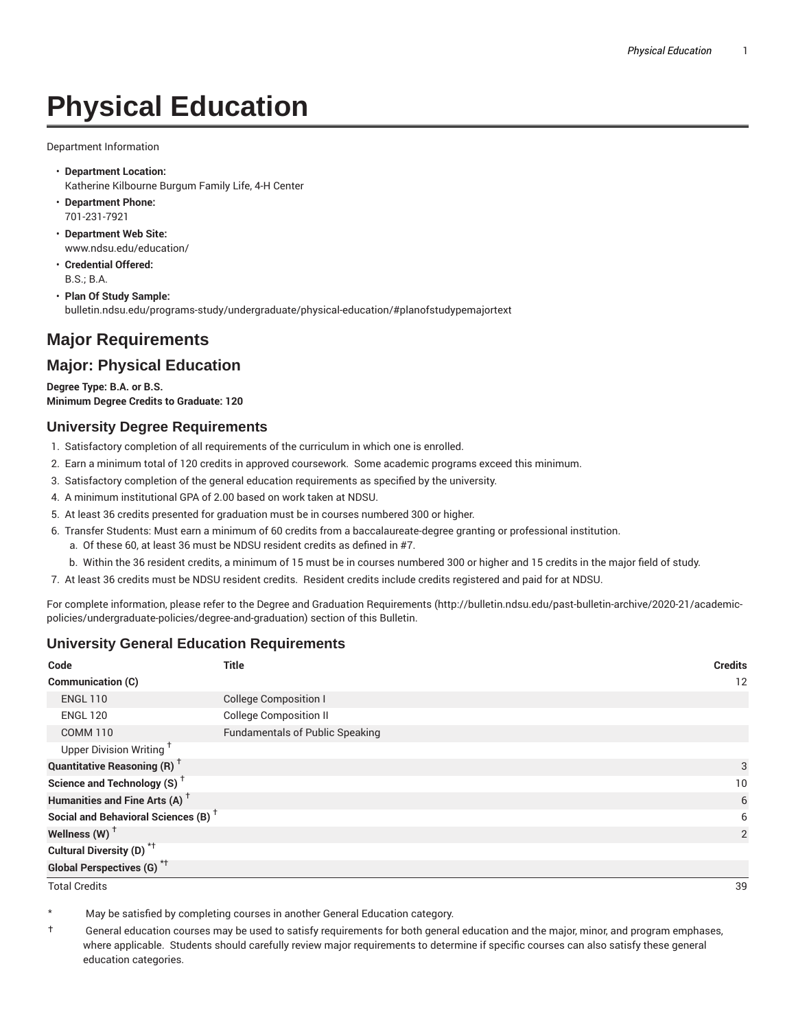# **Physical Education**

Department Information

- **Department Location:** Katherine Kilbourne Burgum Family Life, 4-H Center
- **Department Phone:** 701-231-7921
- **Department Web Site:** www.ndsu.edu/education/
- **Credential Offered:** B.S.; B.A.

• **Plan Of Study Sample:** bulletin.ndsu.edu/programs-study/undergraduate/physical-education/#planofstudypemajortext

# **Major Requirements**

## **Major: Physical Education**

**Degree Type: B.A. or B.S. Minimum Degree Credits to Graduate: 120**

#### **University Degree Requirements**

- 1. Satisfactory completion of all requirements of the curriculum in which one is enrolled.
- 2. Earn a minimum total of 120 credits in approved coursework. Some academic programs exceed this minimum.
- 3. Satisfactory completion of the general education requirements as specified by the university.
- 4. A minimum institutional GPA of 2.00 based on work taken at NDSU.
- 5. At least 36 credits presented for graduation must be in courses numbered 300 or higher.
- 6. Transfer Students: Must earn a minimum of 60 credits from a baccalaureate-degree granting or professional institution.
	- a. Of these 60, at least 36 must be NDSU resident credits as defined in #7.
	- b. Within the 36 resident credits, a minimum of 15 must be in courses numbered 300 or higher and 15 credits in the major field of study.
- 7. At least 36 credits must be NDSU resident credits. Resident credits include credits registered and paid for at NDSU.

For complete information, please refer to the Degree and Graduation Requirements (http://bulletin.ndsu.edu/past-bulletin-archive/2020-21/academicpolicies/undergraduate-policies/degree-and-graduation) section of this Bulletin.

### **University General Education Requirements**

| Code                                            | <b>Title</b>                           | <b>Credits</b>  |
|-------------------------------------------------|----------------------------------------|-----------------|
| <b>Communication (C)</b>                        |                                        | 12              |
| <b>ENGL 110</b>                                 | <b>College Composition I</b>           |                 |
| <b>ENGL 120</b>                                 | <b>College Composition II</b>          |                 |
| <b>COMM 110</b>                                 | <b>Fundamentals of Public Speaking</b> |                 |
| Upper Division Writing <sup>+</sup>             |                                        |                 |
| <b>Quantitative Reasoning (R)</b> <sup>†</sup>  |                                        | 3               |
| Science and Technology (S) <sup>+</sup>         |                                        | 10 <sup>°</sup> |
| Humanities and Fine Arts (A) <sup>+</sup>       |                                        | 6               |
| Social and Behavioral Sciences (B) <sup>+</sup> |                                        | 6               |
| Wellness $(W)$ <sup>+</sup>                     |                                        | 2               |
| Cultural Diversity (D) <sup>*†</sup>            |                                        |                 |
| <b>Global Perspectives (G)<sup>*†</sup></b>     |                                        |                 |

Total Credits 39

May be satisfied by completing courses in another General Education category.

† General education courses may be used to satisfy requirements for both general education and the major, minor, and program emphases, where applicable. Students should carefully review major requirements to determine if specific courses can also satisfy these general education categories.